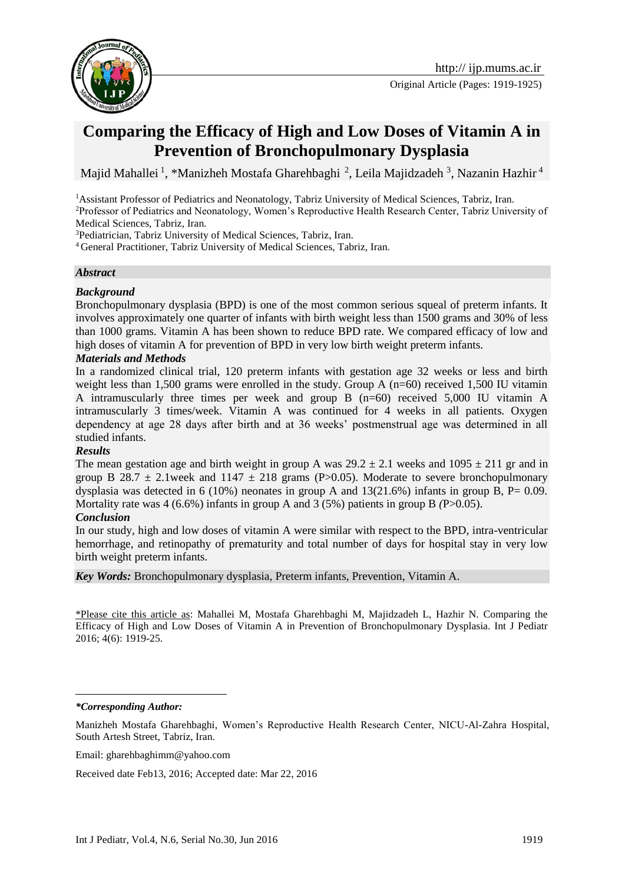

Original Article (Pages: 1919-1925)

# **Comparing the Efficacy of High and Low Doses of Vitamin A in Prevention of Bronchopulmonary Dysplasia**

Majid Mahallei <sup>1</sup>, \*Manizheh Mostafa Gharehbaghi<sup>2</sup>, Leila Majidzadeh<sup>3</sup>, Nazanin Hazhir<sup>4</sup>

<sup>1</sup> Assistant Professor of Pediatrics and Neonatology, Tabriz University of Medical Sciences, Tabriz, Iran. <sup>2</sup>Professor of Pediatrics and Neonatology, Women's Reproductive Health Research Center, Tabriz University of Medical Sciences, Tabriz, Iran.

<sup>3</sup>Pediatrician, Tabriz University of Medical Sciences, Tabriz, Iran.

<sup>4</sup> General Practitioner, Tabriz University of Medical Sciences, Tabriz, Iran.

### *Abstract*

### *Background*

Bronchopulmonary dysplasia (BPD) is one of the most common serious squeal of preterm infants. It involves approximately one quarter of infants with birth weight less than 1500 grams and 30% of less than 1000 grams. Vitamin A has been shown to reduce BPD rate. We compared efficacy of low and high doses of vitamin A for prevention of BPD in very low birth weight preterm infants.

### *Materials and Methods*

In a randomized clinical trial, 120 preterm infants with gestation age 32 weeks or less and birth weight less than 1,500 grams were enrolled in the study. Group A (n=60) received 1,500 IU vitamin A intramuscularly three times per week and group B (n=60) received 5,000 IU vitamin A intramuscularly 3 times/week. Vitamin A was continued for 4 weeks in all patients. Oxygen dependency at age 28 days after birth and at 36 weeks' postmenstrual age was determined in all studied infants.

### *Results*

The mean gestation age and birth weight in group A was  $29.2 \pm 2.1$  weeks and  $1095 \pm 211$  gr and in group B 28.7  $\pm$  2.1week and 1147  $\pm$  218 grams (P>0.05). Moderate to severe bronchopulmonary dysplasia was detected in 6 (10%) neonates in group A and  $13(21.6%)$  infants in group B, P= 0.09. Mortality rate was 4 (6.6%) infants in group A and 3 (5%) patients in group B *(P*>0.05).

### *Conclusion*

In our study, high and low doses of vitamin A were similar with respect to the BPD, intra-ventricular hemorrhage, and retinopathy of prematurity and total number of days for hospital stay in very low birth weight preterm infants.

*Key Words:* Bronchopulmonary dysplasia, Preterm infants, Prevention, Vitamin A.

\*Please cite this article as: Mahallei M, Mostafa Gharehbaghi M, Majidzadeh L, Hazhir N. Comparing the Efficacy of High and Low Doses of Vitamin A in Prevention of Bronchopulmonary Dysplasia. Int J Pediatr 2016; 4(6): 1919-25.

*\*Corresponding Author:*

1

Manizheh Mostafa Gharehbaghi, Women's Reproductive Health Research Center, NICU-Al-Zahra Hospital, South Artesh Street, Tabriz, Iran.

Email: [gharehbaghimm@yahoo.com](mailto:gharehbaghimm@yahoo.com)

Received date Feb13, 2016; Accepted date: Mar 22, 2016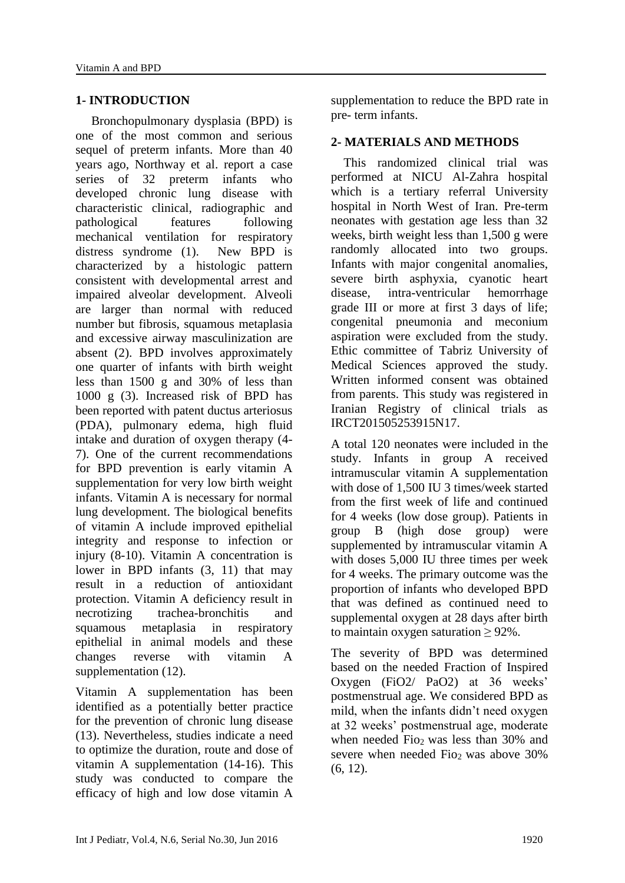## **1- INTRODUCTION**

 Bronchopulmonary dysplasia (BPD) is one of the most common and serious sequel of preterm infants. More than 40 years ago, Northway et al. report a case series of 32 preterm infants who developed chronic lung disease with characteristic clinical, radiographic and pathological features following mechanical ventilation for respiratory distress syndrome (1). New BPD is characterized by a histologic pattern consistent with developmental arrest and impaired alveolar development. Alveoli are larger than normal with reduced number but fibrosis, squamous metaplasia and excessive airway masculinization are absent (2). BPD involves approximately one quarter of infants with birth weight less than 1500 g and 30% of less than 1000 g (3). Increased risk of BPD has been reported with patent ductus arteriosus (PDA), pulmonary edema, high fluid intake and duration of oxygen therapy (4- 7). One of the current recommendations for BPD prevention is early vitamin A supplementation for very low birth weight infants. Vitamin A is necessary for normal lung development. The biological benefits of vitamin A include improved epithelial integrity and response to infection or injury (8-10). Vitamin A concentration is lower in BPD infants (3, 11) that may result in a reduction of antioxidant protection. Vitamin A deficiency result in necrotizing trachea-bronchitis and squamous metaplasia in respiratory epithelial in animal models and these changes reverse with vitamin A supplementation (12).

Vitamin A supplementation has been identified as a potentially better practice for the prevention of chronic lung disease (13). Nevertheless, studies indicate a need to optimize the duration, route and dose of vitamin A supplementation (14-16). This study was conducted to compare the efficacy of high and low dose vitamin A

supplementation to reduce the BPD rate in pre- term infants.

### **2- MATERIALS AND METHODS**

 This randomized clinical trial was performed at NICU Al-Zahra hospital which is a tertiary referral University hospital in North West of Iran. Pre-term neonates with gestation age less than 32 weeks, birth weight less than 1,500 g were randomly allocated into two groups. Infants with major congenital anomalies, severe birth asphyxia, cyanotic heart disease, intra-ventricular hemorrhage grade III or more at first 3 days of life; congenital pneumonia and meconium aspiration were excluded from the study. Ethic committee of Tabriz University of Medical Sciences approved the study. Written informed consent was obtained from parents. This study was registered in Iranian Registry of clinical trials as IRCT201505253915N17.

A total 120 neonates were included in the study. Infants in group A received intramuscular vitamin A supplementation with dose of 1,500 IU 3 times/week started from the first week of life and continued for 4 weeks (low dose group). Patients in group B (high dose group) were supplemented by intramuscular vitamin A with doses 5,000 IU three times per week for 4 weeks. The primary outcome was the proportion of infants who developed BPD that was defined as continued need to supplemental oxygen at 28 days after birth to maintain oxygen saturation  $\geq 92\%$ .

The severity of BPD was determined based on the needed Fraction of Inspired Oxygen (FiO2/ PaO2) at 36 weeks' postmenstrual age. We considered BPD as mild, when the infants didn't need oxygen at 32 weeks' postmenstrual age, moderate when needed Fio<sub>2</sub> was less than 30% and severe when needed Fio<sub>2</sub> was above  $30\%$ (6, 12).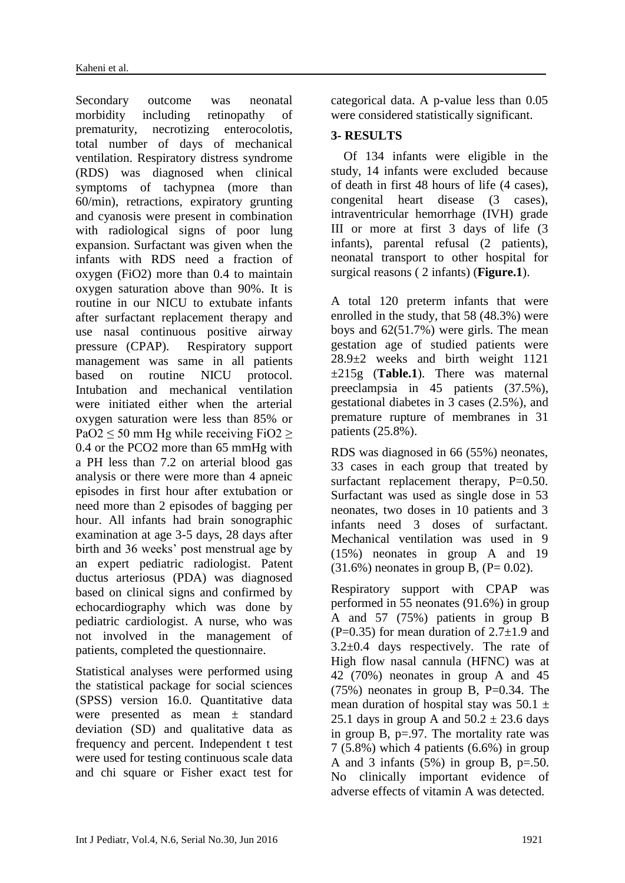Secondary outcome was neonatal morbidity including retinopathy of prematurity, necrotizing enterocolotis, total number of days of mechanical ventilation. Respiratory distress syndrome (RDS) was diagnosed when clinical symptoms of tachypnea (more than 60/min), retractions, expiratory grunting and cyanosis were present in combination with radiological signs of poor lung expansion. Surfactant was given when the infants with RDS need a fraction of oxygen (FiO2) more than 0.4 to maintain oxygen saturation above than 90%. It is routine in our NICU to extubate infants after surfactant replacement therapy and use nasal continuous positive airway pressure (CPAP). Respiratory support management was same in all patients based on routine NICU protocol. Intubation and mechanical ventilation were initiated either when the arterial oxygen saturation were less than 85% or PaO2  $\leq$  50 mm Hg while receiving FiO2  $\geq$ 0.4 or the PCO2 more than 65 mmHg with a PH less than 7.2 on arterial blood gas analysis or there were more than 4 apneic episodes in first hour after extubation or need more than 2 episodes of bagging per hour. All infants had brain sonographic examination at age 3-5 days, 28 days after birth and 36 weeks' post menstrual age by an expert pediatric radiologist. Patent ductus arteriosus (PDA) was diagnosed based on clinical signs and confirmed by echocardiography which was done by pediatric cardiologist. A nurse, who was not involved in the management of patients, completed the questionnaire.

Statistical analyses were performed using the statistical package for social sciences (SPSS) version 16.0. Quantitative data were presented as mean ± standard deviation (SD) and qualitative data as frequency and percent. Independent t test were used for testing continuous scale data and chi square or Fisher exact test for

categorical data. A p-value less than 0.05 were considered statistically significant.

# **3- RESULTS**

 Of 134 infants were eligible in the study, 14 infants were excluded because of death in first 48 hours of life (4 cases), congenital heart disease (3 cases), intraventricular hemorrhage (IVH) grade III or more at first 3 days of life (3 infants), parental refusal (2 patients), neonatal transport to other hospital for surgical reasons ( 2 infants) (**Figure.1**).

A total 120 preterm infants that were enrolled in the study, that 58 (48.3%) were boys and 62(51.7%) were girls. The mean gestation age of studied patients were 28.9±2 weeks and birth weight 1121 ±215g (**Table.1**). There was maternal preeclampsia in 45 patients (37.5%), gestational diabetes in 3 cases (2.5%), and premature rupture of membranes in 31 patients (25.8%).

RDS was diagnosed in 66 (55%) neonates, 33 cases in each group that treated by surfactant replacement therapy,  $P=0.50$ . Surfactant was used as single dose in 53 neonates, two doses in 10 patients and 3 infants need 3 doses of surfactant. Mechanical ventilation was used in 9 (15%) neonates in group A and 19  $(31.6\%)$  neonates in group B,  $(P= 0.02)$ .

Respiratory support with CPAP was performed in 55 neonates (91.6%) in group A and 57 (75%) patients in group B  $(P=0.35)$  for mean duration of 2.7 $\pm$ 1.9 and  $3.2\pm0.4$  days respectively. The rate of High flow nasal cannula (HFNC) was at 42 (70%) neonates in group A and 45  $(75%)$  neonates in group B, P=0.34. The mean duration of hospital stay was  $50.1 \pm$ 25.1 days in group A and  $50.2 \pm 23.6$  days in group B, p=.97. The mortality rate was  $7(5.8\%)$  which 4 patients  $(6.6\%)$  in group A and 3 infants (5%) in group B*,* p=.50. No clinically important evidence of adverse effects of vitamin A was detected.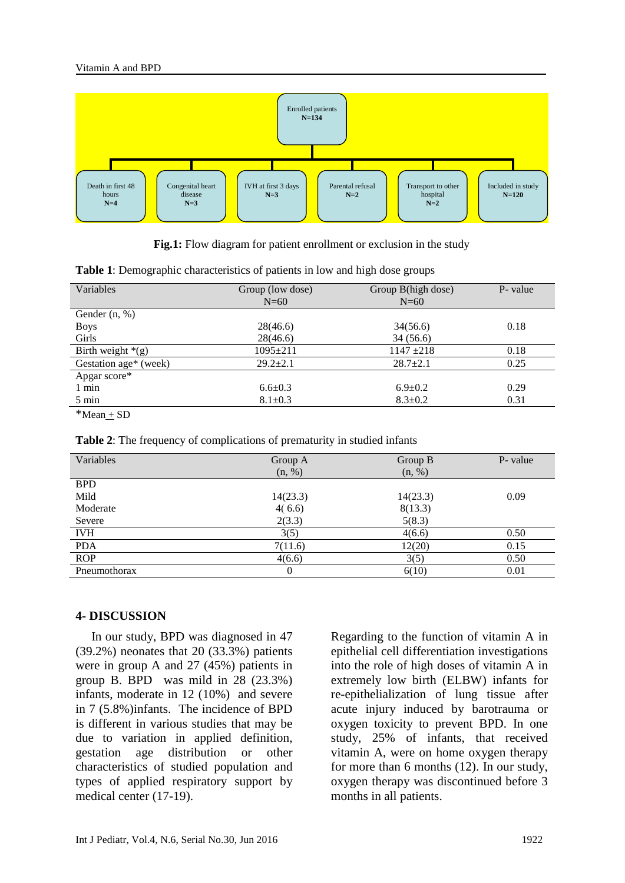

**Fig.1:** Flow diagram for patient enrollment or exclusion in the study

| ັ້                    |                  |                    |          |
|-----------------------|------------------|--------------------|----------|
| Variables             | Group (low dose) | Group B(high dose) | P- value |
|                       | $N=60$           | $N=60$             |          |
| Gender $(n, %)$       |                  |                    |          |
| <b>Boys</b>           | 28(46.6)         | 34(56.6)           | 0.18     |
| Girls                 | 28(46.6)         | 34(56.6)           |          |
| Birth weight $*(g)$   | $1095 \pm 211$   | $1147 + 218$       | 0.18     |
| Gestation age* (week) | $29.2 \pm 2.1$   | $28.7 \pm 2.1$     | 0.25     |
| Apgar score*          |                  |                    |          |
| $1$ min               | $6.6 \pm 0.3$    | $6.9 \pm 0.2$      | 0.29     |
| 5 min                 | $8.1 \pm 0.3$    | $8.3 \pm 0.2$      | 0.31     |
| $*$ Mean + SD         |                  |                    |          |

**Table 1**: Demographic characteristics of patients in low and high dose groups

|  |  | Table 2: The frequency of complications of prematurity in studied infants |
|--|--|---------------------------------------------------------------------------|
|  |  |                                                                           |

| Variables    | Group A      | Group B  | P- value |
|--------------|--------------|----------|----------|
|              | (n, %)       | (n, %)   |          |
| <b>BPD</b>   |              |          |          |
| Mild         | 14(23.3)     | 14(23.3) | 0.09     |
| Moderate     | 4(6.6)       | 8(13.3)  |          |
| Severe       | 2(3.3)       | 5(8.3)   |          |
| <b>IVH</b>   | 3(5)         | 4(6.6)   | 0.50     |
| <b>PDA</b>   | 7(11.6)      | 12(20)   | 0.15     |
| <b>ROP</b>   | 4(6.6)       | 3(5)     | 0.50     |
| Pneumothorax | $\mathbf{0}$ | 6(10)    | 0.01     |

## **4- DISCUSSION**

 In our study, BPD was diagnosed in 47 (39.2%) neonates that 20 (33.3%) patients were in group A and 27 (45%) patients in group B. BPD was mild in 28 (23.3%) infants, moderate in 12 (10%) and severe in 7 (5.8%)infants. The incidence of BPD is different in various studies that may be due to variation in applied definition, gestation age distribution or other characteristics of studied population and types of applied respiratory support by medical center (17-19).

Regarding to the function of vitamin A in epithelial cell differentiation investigations into the role of high doses of vitamin A in extremely low birth (ELBW) infants for re-epithelialization of lung tissue after acute injury induced by barotrauma or oxygen toxicity to prevent BPD. In one study, 25% of infants, that received vitamin A, were on home oxygen therapy for more than 6 months (12). In our study, oxygen therapy was discontinued before 3 months in all patients.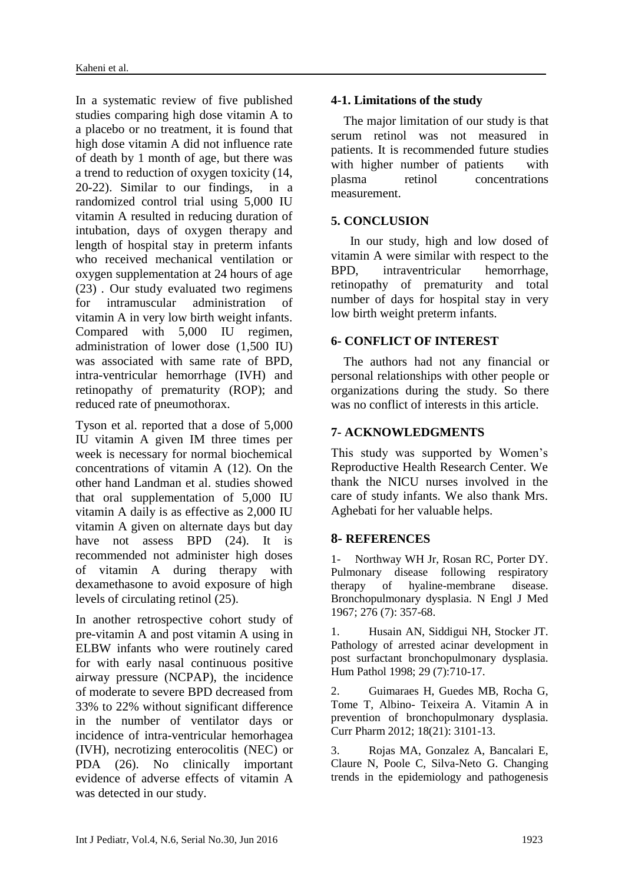In a systematic review of five published studies comparing high dose vitamin A to a placebo or no treatment, it is found that high dose vitamin A did not influence rate of death by 1 month of age, but there was a trend to reduction of oxygen toxicity (14, 20-22). Similar to our findings, in a randomized control trial using 5,000 IU vitamin A resulted in reducing duration of intubation, days of oxygen therapy and length of hospital stay in preterm infants who received mechanical ventilation or oxygen supplementation at 24 hours of age (23) . Our study evaluated two regimens for intramuscular administration of vitamin A in very low birth weight infants. Compared with 5,000 IU regimen, administration of lower dose (1,500 IU) was associated with same rate of BPD, intra-ventricular hemorrhage (IVH) and retinopathy of prematurity (ROP); and reduced rate of pneumothorax.

Tyson et al. reported that a dose of 5,000 IU vitamin A given IM three times per week is necessary for normal biochemical concentrations of vitamin A (12). On the other hand Landman et al. studies showed that oral supplementation of 5,000 IU vitamin A daily is as effective as 2,000 IU vitamin A given on alternate days but day have not assess BPD (24). It is recommended not administer high doses of vitamin A during therapy with dexamethasone to avoid exposure of high levels of circulating retinol (25).

In another retrospective cohort study of pre-vitamin A and post vitamin A using in ELBW infants who were routinely cared for with early nasal continuous positive airway pressure (NCPAP), the incidence of moderate to severe BPD decreased from 33% to 22% without significant difference in the number of ventilator days or incidence of intra-ventricular hemorhagea (IVH), necrotizing enterocolitis (NEC) or PDA (26). No clinically important evidence of adverse effects of vitamin A was detected in our study.

# **4-1. Limitations of the study**

 The major limitation of our study is that serum retinol was not measured in patients. It is recommended future studies with higher number of patients with plasma retinol concentrations measurement.

# **5. CONCLUSION**

 In our study, high and low dosed of vitamin A were similar with respect to the BPD, intraventricular hemorrhage, retinopathy of prematurity and total number of days for hospital stay in very low birth weight preterm infants.

### **6- CONFLICT OF INTEREST**

 The authors had not any financial or personal relationships with other people or organizations during the study. So there was no conflict of interests in this article.

# **7- ACKNOWLEDGMENTS**

This study was supported by Women's Reproductive Health Research Center. We thank the NICU nurses involved in the care of study infants. We also thank Mrs. Aghebati for her valuable helps.

# **8- REFERENCES**

1- Northway WH Jr, Rosan RC, Porter DY. Pulmonary disease following respiratory therapy of hyaline-membrane disease. Bronchopulmonary dysplasia. N Engl J Med 1967; 276 (7): 357-68.

1. Husain AN, Siddigui NH, Stocker JT. Pathology of arrested acinar development in post surfactant bronchopulmonary dysplasia. Hum Pathol 1998; 29 (7):710-17.

2. Guimaraes H, Guedes MB, Rocha G, Tome T, Albino- Teixeira A. Vitamin A in prevention of bronchopulmonary dysplasia. Curr Pharm 2012; 18(21): 3101-13.

3. Rojas MA, Gonzalez A, Bancalari E, Claure N, Poole C, Silva-Neto G. Changing trends in the epidemiology and pathogenesis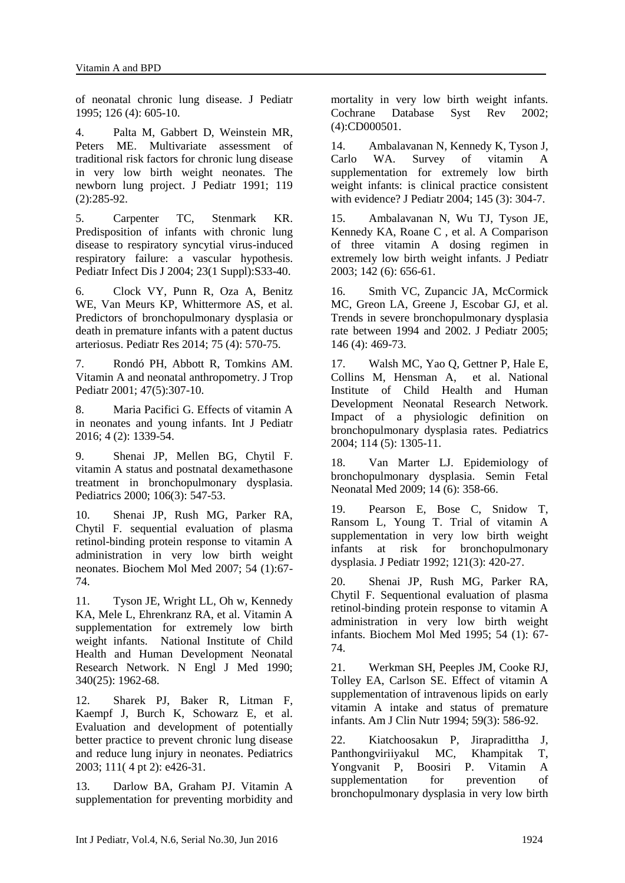of neonatal chronic lung disease. J Pediatr 1995; 126 (4): 605-10.

4. Palta M, Gabbert D, Weinstein MR, Peters ME. Multivariate assessment of traditional risk factors for chronic lung disease in very low birth weight neonates. The newborn lung project. J Pediatr 1991; 119 (2):285-92.

5. Carpenter TC, Stenmark KR. Predisposition of infants with chronic lung disease to respiratory syncytial virus-induced respiratory failure: a vascular hypothesis. Pediatr Infect Dis J 2004; 23(1 Suppl):S33-40.

6. Clock VY, Punn R, Oza A, Benitz WE, Van Meurs KP, Whittermore AS, et al. Predictors of bronchopulmonary dysplasia or death in premature infants with a patent ductus arteriosus. Pediatr Res 2014; 75 (4): 570-75.

7. Rondó PH, Abbott R, Tomkins AM. Vitamin A and neonatal anthropometry. J Trop Pediatr 2001; 47(5):307-10.

8. Maria Pacifici G. Effects of vitamin A in neonates and young infants. Int J Pediatr 2016; 4 (2): 1339-54.

9. Shenai JP, Mellen BG, Chytil F. vitamin A status and postnatal dexamethasone treatment in bronchopulmonary dysplasia. Pediatrics 2000; 106(3): 547-53.

10. Shenai JP, Rush MG, Parker RA, Chytil F. sequential evaluation of plasma retinol-binding protein response to vitamin A administration in very low birth weight neonates. Biochem Mol Med 2007; 54 (1):67- 74.

11. Tyson JE, Wright LL, Oh w, Kennedy KA, Mele L, Ehrenkranz RA, et al. Vitamin A supplementation for extremely low birth weight infants. National Institute of Child Health and Human Development Neonatal Research Network. N Engl J Med 1990; 340(25): 1962-68.

12. Sharek PJ, Baker R, Litman F, Kaempf J, Burch K, Schowarz E, et al. Evaluation and development of potentially better practice to prevent chronic lung disease and reduce lung injury in neonates. Pediatrics 2003; 111( 4 pt 2): e426-31.

13. Darlow BA, Graham PJ. Vitamin A supplementation for preventing morbidity and mortality in very low birth weight infants. Cochrane Database Syst Rev 2002; (4):CD000501.

14. Ambalavanan N, Kennedy K, Tyson J, Carlo WA. Survey of vitamin A supplementation for extremely low birth weight infants: is clinical practice consistent with evidence? J Pediatr 2004; 145 (3): 304-7.

15. Ambalavanan N, Wu TJ, Tyson JE, Kennedy KA, Roane C , et al. A Comparison of three vitamin A dosing regimen in extremely low birth weight infants. J Pediatr 2003; 142 (6): 656-61.

16. Smith VC, Zupancic JA, McCormick MC, Greon LA, Greene J, Escobar GJ, et al. Trends in severe bronchopulmonary dysplasia rate between 1994 and 2002. J Pediatr 2005; 146 (4): 469-73.

17. Walsh MC, Yao Q, Gettner P, Hale E, Collins M, Hensman A, et al. National Institute of Child Health and Human Development Neonatal Research Network. Impact of a physiologic definition on bronchopulmonary dysplasia rates. Pediatrics 2004; 114 (5): 1305-11.

18. Van Marter LJ. Epidemiology of bronchopulmonary dysplasia. Semin Fetal Neonatal Med 2009; 14 (6): 358-66.

19. Pearson E, Bose C, Snidow T, Ransom L, Young T. Trial of vitamin A supplementation in very low birth weight infants at risk for bronchopulmonary dysplasia. J Pediatr 1992; 121(3): 420-27.

20. Shenai JP, Rush MG, Parker RA, Chytil F. Sequentional evaluation of plasma retinol-binding protein response to vitamin A administration in very low birth weight infants. Biochem Mol Med 1995; 54 (1): 67- 74.

21. Werkman SH, Peeples JM, Cooke RJ, Tolley EA, Carlson SE. Effect of vitamin A supplementation of intravenous lipids on early vitamin A intake and status of premature infants. Am J Clin Nutr 1994; 59(3): 586-92.

22. Kiatchoosakun P, Jirapradittha J, Panthongviriiyakul MC, Khampitak T, Yongvanit P, Boosiri P. Vitamin A supplementation for prevention of bronchopulmonary dysplasia in very low birth